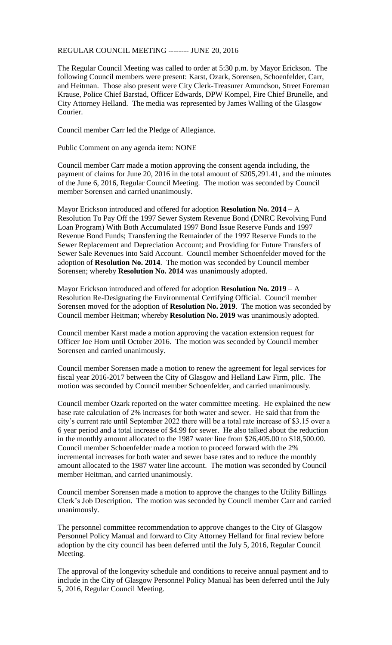## REGULAR COUNCIL MEETING -------- JUNE 20, 2016

The Regular Council Meeting was called to order at 5:30 p.m. by Mayor Erickson. The following Council members were present: Karst, Ozark, Sorensen, Schoenfelder, Carr, and Heitman. Those also present were City Clerk-Treasurer Amundson, Street Foreman Krause, Police Chief Barstad, Officer Edwards, DPW Kompel, Fire Chief Brunelle, and City Attorney Helland. The media was represented by James Walling of the Glasgow Courier.

Council member Carr led the Pledge of Allegiance.

Public Comment on any agenda item: NONE

Council member Carr made a motion approving the consent agenda including, the payment of claims for June 20, 2016 in the total amount of \$205,291.41, and the minutes of the June 6, 2016, Regular Council Meeting. The motion was seconded by Council member Sorensen and carried unanimously.

Mayor Erickson introduced and offered for adoption **Resolution No. 2014** – A Resolution To Pay Off the 1997 Sewer System Revenue Bond (DNRC Revolving Fund Loan Program) With Both Accumulated 1997 Bond Issue Reserve Funds and 1997 Revenue Bond Funds; Transferring the Remainder of the 1997 Reserve Funds to the Sewer Replacement and Depreciation Account; and Providing for Future Transfers of Sewer Sale Revenues into Said Account. Council member Schoenfelder moved for the adoption of **Resolution No. 2014**. The motion was seconded by Council member Sorensen; whereby **Resolution No. 2014** was unanimously adopted.

Mayor Erickson introduced and offered for adoption **Resolution No. 2019** – A Resolution Re-Designating the Environmental Certifying Official. Council member Sorensen moved for the adoption of **Resolution No. 2019**. The motion was seconded by Council member Heitman; whereby **Resolution No. 2019** was unanimously adopted.

Council member Karst made a motion approving the vacation extension request for Officer Joe Horn until October 2016. The motion was seconded by Council member Sorensen and carried unanimously.

Council member Sorensen made a motion to renew the agreement for legal services for fiscal year 2016-2017 between the City of Glasgow and Helland Law Firm, pllc. The motion was seconded by Council member Schoenfelder, and carried unanimously.

Council member Ozark reported on the water committee meeting. He explained the new base rate calculation of 2% increases for both water and sewer. He said that from the city's current rate until September 2022 there will be a total rate increase of \$3.15 over a 6 year period and a total increase of \$4.99 for sewer. He also talked about the reduction in the monthly amount allocated to the 1987 water line from \$26,405.00 to \$18,500.00. Council member Schoenfelder made a motion to proceed forward with the 2% incremental increases for both water and sewer base rates and to reduce the monthly amount allocated to the 1987 water line account. The motion was seconded by Council member Heitman, and carried unanimously.

Council member Sorensen made a motion to approve the changes to the Utility Billings Clerk's Job Description. The motion was seconded by Council member Carr and carried unanimously.

The personnel committee recommendation to approve changes to the City of Glasgow Personnel Policy Manual and forward to City Attorney Helland for final review before adoption by the city council has been deferred until the July 5, 2016, Regular Council Meeting.

The approval of the longevity schedule and conditions to receive annual payment and to include in the City of Glasgow Personnel Policy Manual has been deferred until the July 5, 2016, Regular Council Meeting.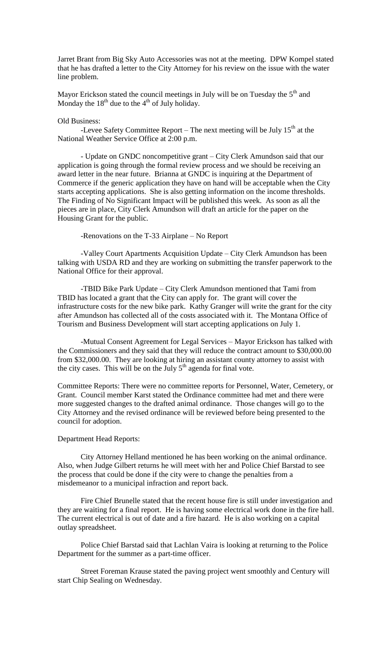Jarret Brant from Big Sky Auto Accessories was not at the meeting. DPW Kompel stated that he has drafted a letter to the City Attorney for his review on the issue with the water line problem.

Mayor Erickson stated the council meetings in July will be on Tuesday the  $5<sup>th</sup>$  and Monday the  $18^{th}$  due to the  $4^{th}$  of July holiday.

## Old Business:

-Levee Safety Committee Report – The next meeting will be July  $15<sup>th</sup>$  at the National Weather Service Office at 2:00 p.m.

- Update on GNDC noncompetitive grant – City Clerk Amundson said that our application is going through the formal review process and we should be receiving an award letter in the near future. Brianna at GNDC is inquiring at the Department of Commerce if the generic application they have on hand will be acceptable when the City starts accepting applications. She is also getting information on the income thresholds. The Finding of No Significant Impact will be published this week. As soon as all the pieces are in place, City Clerk Amundson will draft an article for the paper on the Housing Grant for the public.

-Renovations on the T-33 Airplane – No Report

-Valley Court Apartments Acquisition Update – City Clerk Amundson has been talking with USDA RD and they are working on submitting the transfer paperwork to the National Office for their approval.

-TBID Bike Park Update – City Clerk Amundson mentioned that Tami from TBID has located a grant that the City can apply for. The grant will cover the infrastructure costs for the new bike park. Kathy Granger will write the grant for the city after Amundson has collected all of the costs associated with it. The Montana Office of Tourism and Business Development will start accepting applications on July 1.

-Mutual Consent Agreement for Legal Services – Mayor Erickson has talked with the Commissioners and they said that they will reduce the contract amount to \$30,000.00 from \$32,000.00. They are looking at hiring an assistant county attorney to assist with the city cases. This will be on the July  $5<sup>th</sup>$  agenda for final vote.

Committee Reports: There were no committee reports for Personnel, Water, Cemetery, or Grant. Council member Karst stated the Ordinance committee had met and there were more suggested changes to the drafted animal ordinance. Those changes will go to the City Attorney and the revised ordinance will be reviewed before being presented to the council for adoption.

## Department Head Reports:

City Attorney Helland mentioned he has been working on the animal ordinance. Also, when Judge Gilbert returns he will meet with her and Police Chief Barstad to see the process that could be done if the city were to change the penalties from a misdemeanor to a municipal infraction and report back.

Fire Chief Brunelle stated that the recent house fire is still under investigation and they are waiting for a final report. He is having some electrical work done in the fire hall. The current electrical is out of date and a fire hazard. He is also working on a capital outlay spreadsheet.

Police Chief Barstad said that Lachlan Vaira is looking at returning to the Police Department for the summer as a part-time officer.

Street Foreman Krause stated the paving project went smoothly and Century will start Chip Sealing on Wednesday.